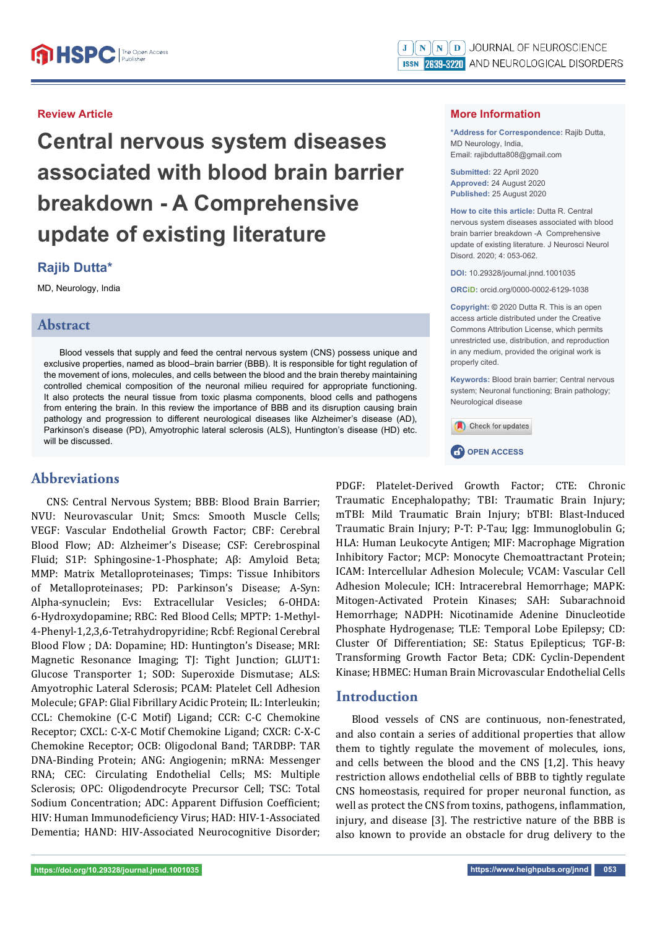### **Review Article**

**Central nervous system diseases associated with blood brain barrier breakdown - A Comprehensive update of existing literature** 

### **Rajib Dutta\***

MD, Neurology, India

### **Abstract**

Blood vessels that supply and feed the central nervous system (CNS) possess unique and exclusive properties, named as blood–brain barrier (BBB). It is responsible for tight regulation of the movement of ions, molecules, and cells between the blood and the brain thereby maintaining controlled chemical composition of the neuronal milieu required for appropriate functioning. It also protects the neural tissue from toxic plasma components, blood cells and pathogens from entering the brain. In this review the importance of BBB and its disruption causing brain pathology and progression to different neurological diseases like Alzheimer's disease (AD), Parkinson's disease (PD), Amyotrophic lateral sclerosis (ALS), Huntington's disease (HD) etc. will be discussed.

# **Abbreviations**

CNS: Central Nervous System; BBB: Blood Brain Barrier; NVU: Neurovascular Unit; Smcs: Smooth Muscle Cells; VEGF: Vascular Endothelial Growth Factor; CBF: Cerebral Blood Flow; AD: Alzheimer's Disease; CSF: Cerebrospinal Fluid; S1P: Sphingosine-1-Phosphate; Aβ: Amyloid Beta; MMP: Matrix Metalloproteinases; Timps: Tissue Inhibitors of Metalloproteinases; PD: Parkinson's Disease; Α-Syn: Alpha-synuclein; Evs: Extracellular Vesicles; 6-OHDA: 6-Hydroxydopamine; RBC: Red Blood Cells; MPTP: 1-Methyl-4-Phenyl-1,2,3,6-Tetrahydropyridine; Rcbf: Regional Cerebral Blood Flow ; DA: Dopamine; HD: Huntington's Disease; MRI: Magnetic Resonance Imaging; TJ: Tight Junction; GLUT1: Glucose Transporter 1; SOD: Superoxide Dismutase; ALS: Amyotrophic Lateral Sclerosis; PCAM: Platelet Cell Adhesion Molecule; GFAP: Glial Fibrillary Acidic Protein; IL: Interleukin; CCL: Chemokine (C-C Motif) Ligand; CCR: C-C Chemokine Receptor; CXCL: C-X-C Motif Chemokine Ligand; CXCR: C-X-C Chemokine Receptor; OCB: Oligoclonal Band; TARDBP: TAR DNA-Binding Protein; ANG: Angiogenin; mRNA: Messenger RNA; CEC: Circulating Endothelial Cells; MS: Multiple Sclerosis; OPC: Oligodendrocyte Precursor Cell; TSC: Total Sodium Concentration; ADC: Apparent Diffusion Coefficient; HIV: Human Immunodeficiency Virus; HAD: HIV-1-Associated Dementia; HAND: HIV-Associated Neurocognitive Disorder;

### **More Information**

**\*Address for Correspondence:** Rajib Dutta, MD Neurology, India, Email: rajibdutta808@gmail.com

**Submitted:** 22 April 2020 **Approved:** 24 August 2020 **Published:** 25 August 2020

**How to cite this article:** Dutta R. Central nervous system diseases associated with blood brain barrier breakdown -A Comprehensive update of existing literature. J Neurosci Neurol Disord. 2020; 4: 053-062.

**DOI:** 10.29328/journal.jnnd.1001035

**ORCiD:** orcid.org/0000-0002-6129-1038

**Copyright: ©** 2020 Dutta R. This is an open access article distributed under the Creative Commons Attribution License, which permits unrestricted use, distribution, and reproduction in any medium, provided the original work is properly cited.

**Keywords:** Blood brain barrier; Central nervous system: Neuronal functioning: Brain pathology; Neurological disease





PDGF: Platelet-Derived Growth Factor; CTE: Chronic Traumatic Encephalopathy; TBI: Traumatic Brain Injury; mTBI: Mild Traumatic Brain Injury; bTBI: Blast-Induced Traumatic Brain Injury; P-Τ: P-Tau; Igg: Immunoglobulin G; HLA: Human Leukocyte Antigen; MIF: Macrophage Migration Inhibitory Factor; MCP: Monocyte Chemoattractant Protein; ICAM: Intercellular Adhesion Molecule; VCAM: Vascular Cell Adhesion Molecule; ICH: Intracerebral Hemorrhage; MAPK: Mitogen-Activated Protein Kinases; SAH: Subarachnoid Hemorrhage; NADPH: Nicotinamide Adenine Dinucleotide Phosphate Hydrogenase; TLE: Temporal Lobe Epilepsy; CD: Cluster Of Differentiation; SE: Status Epilepticus; TGF-Β: Transforming Growth Factor Beta; CDK: Cyclin-Dependent Kinase; HBMEC: Human Brain Microvascular Endothelial Cells

## **Introduction**

Blood vessels of CNS are continuous, non-fenestrated, and also contain a series of additional properties that allow them to tightly regulate the movement of molecules, ions, and cells between the blood and the CNS [1,2]. This heavy restriction allows endothelial cells of BBB to tightly regulate CNS homeostasis, required for proper neuronal function, as well as protect the CNS from toxins, pathogens, inflammation, injury, and disease [3]. The restrictive nature of the BBB is also known to provide an obstacle for drug delivery to the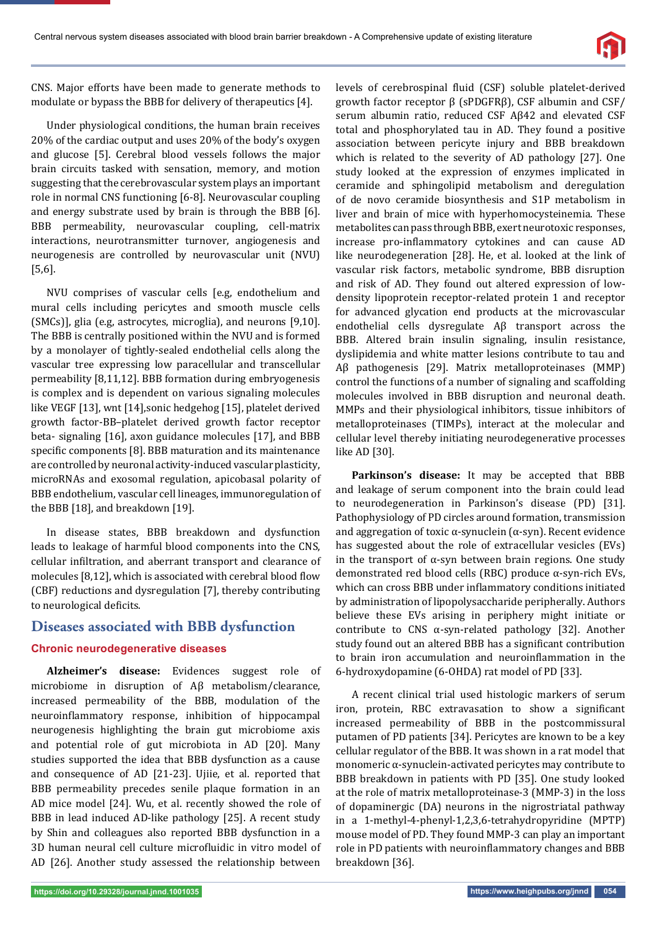

CNS. Major efforts have been made to generate methods to modulate or bypass the BBB for delivery of therapeutics [4].

Under physiological conditions, the human brain receives 20% of the cardiac output and uses 20% of the body's oxygen and glucose [5]. Cerebral blood vessels follows the major brain circuits tasked with sensation, memory, and motion suggesting that the cerebrovascular system plays an important role in normal CNS functioning [6-8]. Neurovascular coupling and energy substrate used by brain is through the BBB [6]. BBB permeability, neurovascular coupling, cell-matrix interactions, neurotransmitter turnover, angiogenesis and neurogenesis are controlled by neurovascular unit (NVU) [5,6].

NVU comprises of vascular cells [e.g, endothelium and mural cells including pericytes and smooth muscle cells  $(SMCs)$ ], glia (e.g, astrocytes, microglia), and neurons  $[9,10]$ . The BBB is centrally positioned within the NVU and is formed by a monolayer of tightly-sealed endothelial cells along the vascular tree expressing low paracellular and transcellular permeability [8,11,12]. BBB formation during embryogenesis is complex and is dependent on various signaling molecules like VEGF [13], wnt [14], sonic hedgehog [15], platelet derived growth factor-BB–platelet derived growth factor receptor beta- signaling [16], axon guidance molecules [17], and BBB specific components [8]. BBB maturation and its maintenance are controlled by neuronal activity-induced vascular plasticity, microRNAs and exosomal regulation, apicobasal polarity of BBB endothelium, vascular cell lineages, immunoregulation of the BBB [18], and breakdown [19].

In disease states, BBB breakdown and dysfunction leads to leakage of harmful blood components into the CNS, cellular infiltration, and aberrant transport and clearance of molecules [8,12], which is associated with cerebral blood flow (CBF) reductions and dysregulation [7], thereby contributing to neurological deficits.

### **Diseases associated with BBB dysfunction**

### **Chronic neurodegenerative diseases**

**Alzh eimer's disease:** Evidences suggest role of microbiome in disruption of Aβ metabolism/clearance, increased permeability of the BBB, modulation of the neuroinflammatory response, inhibition of hippocampal neurogenesis highlighting the brain gut microbiome axis and potential role of gut microbiota in AD [20]. Many studies supported the idea that BBB dysfunction as a cause and consequence of AD [21-23]. Ujiie, et al. reported that BBB permeability precedes senile plaque formation in an AD mice model [24]. Wu, et al. recently showed the role of BBB in lead induced AD-like pathology [25]. A recent study by Shin and colleagues also reported BBB dysfunction in a 3D human neural cell culture microfluidic in vitro model of AD [26]. Another study assessed the relationship between levels of cerebrospinal fluid (CSF) soluble platelet-derived growth factor receptor β (sPDGFRβ), CSF albumin and CSF/ serum albumin ratio, reduced CSF Aβ42 and elevated CSF total and phosphorylated tau in AD. They found a positive association between pericyte injury and BBB breakdown which is related to the severity of AD pathology [27]. One study looked at the expression of enzymes implicated in ceramide and sphingolipid metabolism and deregulation of de novo ceramide biosynthesis and S1P metabolism in liver and brain of mice with hyperhomocysteinemia. These metabolites can pass through BBB, exert neurotoxic responses, increase pro-inflammatory cytokines and can cause AD like neurodegeneration [28]. He, et al. looked at the link of vascular risk factors, metabolic syndrome, BBB disruption and risk of AD. They found out altered expression of lowdensity lipoprotein receptor-related protein 1 and receptor for advanced glycation end products at the microvascular endothelial cells dysregulate  $\text{A}\beta$  transport across the BBB. Altered brain insulin signaling, insulin resistance, dyslipidemia and white matter lesions contribute to tau and Aβ pathogenesis [29]. Matrix metalloproteinases (MMP) control the functions of a number of signaling and scaffolding molecules involved in BBB disruption and neuronal death. MMPs and their physiological inhibitors, tissue inhibitors of metalloproteinases (TIMPs), interact at the molecular and cellular level thereby initiating neurodegenerative processes like AD [30].

Parkinson's disease: It may be accepted that BBB and leakage of serum component into the brain could lead to neurodegeneration in Parkinson's disease (PD) [31]. Pathophysiology of PD circles around formation, transmission and aggregation of toxic  $\alpha$ -synuclein ( $\alpha$ -syn). Recent evidence has suggested about the role of extracellular vesicles (EVs) in the transport of α-syn between brain regions. One study demonstrated red blood cells (RBC) produce α-syn-rich EVs, which can cross BBB under inflammatory conditions initiated by administration of lipopolysaccharide peripherally. Authors believe these EVs arising in periphery might initiate or contribute to CNS α-syn-related pathology [32]. Another study found out an altered BBB has a significant contribution to brain iron accumulation and neuroinflammation in the 6-hydro xydopamine (6-OHDA) rat model of PD [33].

A recent clinical trial used histologic markers of serum iron, protein, RBC extravasation to show a significant increased permeability of BBB in the postcommissural putamen of PD patients [34]. Pericytes are known to be a key cellular regulator of the BBB. It was shown in a rat model that monomeric α-synuclein-activated pericytes may contribute to BBB breakdown in patients with PD [35]. One study looked at the role of matrix metalloproteinase-3 (MMP-3) in the loss of dopaminergic (DA) neurons in the nigrostriatal pathway in a 1-methyl-4-phenyl-1,2,3,6-tetrahydropyridine (MPTP) mouse model of PD. They found MMP-3 can play an important role in PD patients with neuroinflammatory changes and BBB breakdown [36].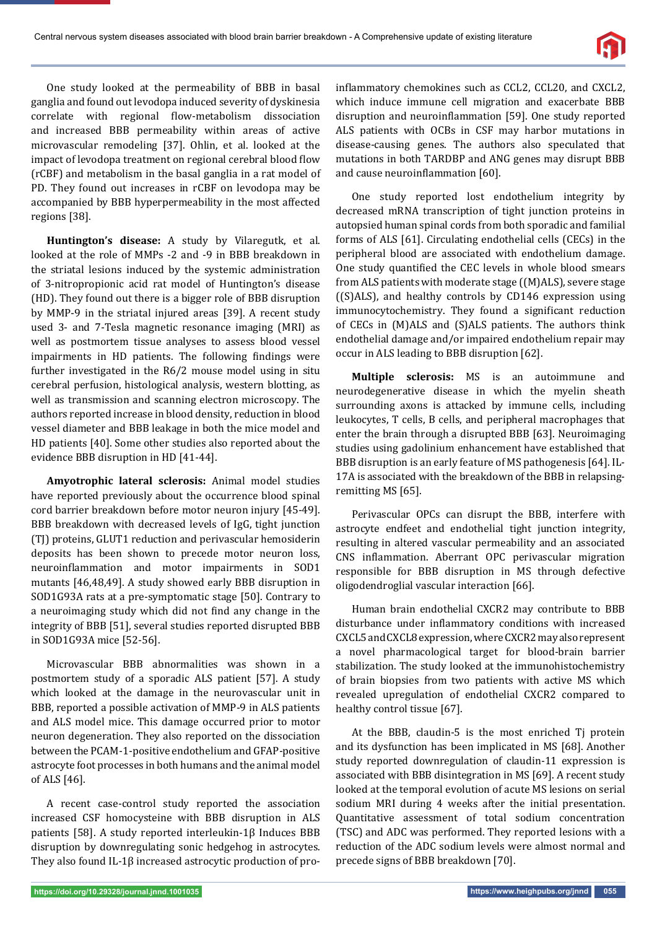

One study looked at the permeability of BBB in basal ganglia and found out levodopa induced severity of dyskinesia correlate with regional flow-metabolism dissociation and increased BBB permeability within areas of active microvascular remodeling [37]. Ohlin, et al. looked at the impact of levodopa treatment on regional cerebral blood flow (rCBF) and metabolism in the basal ganglia in a rat model of PD. They found out increases in rCBF on levodopa may be accompanied by BBB hyperpermeability in the most affected regions [38].

**Hunting ton's disease:** A study by Vilaregutk, et al. looked at the role of MMPs -2 and -9 in BBB breakdown in the striatal lesions induced by the systemic administration of 3-nitropropionic acid rat model of Huntington's disease (HD). They found out there is a bigger role of BBB disruption by MMP-9 in the striatal injured areas [39]. A recent study used 3- and 7-Tesla magnetic resonance imaging (MRI) as well as postmortem tissue analyses to assess blood vessel impairments in HD patients. The following findings were further investigated in the R6/2 mouse model using in situ cerebral perfusion, histological analysis, western blotting, as well as transmission and scanning electron microscopy. The authors reported increase in blood density, reduction in blood vessel diameter and BBB leakage in both the mice model and HD patients [40]. Some other studies also reported about the evidence BBB disruption in HD [41-44].

**Amyotrophic lateral sclerosis:** Animal model studies have reported previously about the occurrence blood spinal cord barrier breakdown before motor neuron injury [45-49]. BBB breakdown with decreased levels of IgG, tight junction (TI) proteins, GLUT1 reduction and perivascular hemosiderin deposits has been shown to precede motor neuron loss, neuroinflammation and motor impairments in SOD1 mutants [46,48,49]. A study showed early BBB disruption in SOD1G93A rats at a pre-symptomatic stage [50]. Contrary to a neuroimaging study which did not find any change in the integrity of BBB [51], several studies reported disrupted BBB in SOD1G93A mice [52-56].

Microvascular BBB abnormalities was shown in a postmortem study of a sporadic ALS patient [57]. A study which looked at the damage in the neurovascular unit in BBB, reported a possible activation of MMP-9 in ALS patients and ALS model mice. This damage occurred prior to motor neuron degeneration. They also reported on the dissociation between the PCAM-1-positive endothelium and GFAP-positive astrocyte foot processes in both humans and the animal model of ALS [46].

A recent case-control study reported the association increased CSF homocysteine with BBB disruption in ALS patients [58]. A study reported interleukin-1β Induces BBB disruption by downregulating sonic hedgehog in astrocytes. They also found IL-1β increased astrocytic production of proinflammatory chemokines such as CCL2, CCL20, and CXCL2, which induce immune cell migration and exacerbate BBB disruption and neuroinflammation [59]. One study reported ALS patients with OCBs in CSF may harbor mutations in disease-causing genes. The authors also speculated that mutations in both TARDBP and ANG genes may disrupt BBB and cause neuroinflammation [60].

One study reported lost endothelium integrity by decreased mRNA transcription of tight junction proteins in autopsied human spinal cords from both sporadic and familial forms of ALS [61]. Circulating endothelial cells (CECs) in the peripheral blood are associated with endothelium damage. One study quantified the CEC levels in whole blood smears from ALS patients with moderate stage ((M)ALS), severe stage ((S)ALS), and healthy controls by CD146 expression using immunocytochemistry. They found a significant reduction of CECs in (M)ALS and (S)ALS patients. The authors think endothelial damage and/or impaired endothelium repair may occur in ALS leading to BBB disruption [62].

**Multiple sclerosis:** MS is an autoimmune and neurodegenerative disease in which the myelin sheath surrounding axons is attacked by immune cells, including leukocytes, T cells, B cells, and peripheral macrophages that enter the brain through a disrupted BBB [63]. Neuroimaging studies using gadolinium enhancement have established that BBB disruption is an early feature of MS pathogenesis [64]. IL-17A is associated with the breakdown of the BBB in relapsingremitting MS [65].

Perivascular OPCs can disrupt the BBB, interfere with astrocyte endfeet and endothelial tight junction integrity, resulting in altered vascular permeability and an associated CNS inflammation. Aberrant OPC perivascular migration responsible for BBB disruption in MS through defective oligodendroglial vascular interaction [66].

Human brain endothelial CXCR2 may contribute to BBB disturbance under inflammatory conditions with increased CXCL5 and CXCL8 expression, where CXCR2 may also represent a novel pharmacological target for blood-brain barrier stabilization. The study looked at the immunohistochemistry of brain biopsies from two patients with active MS which revealed upregulation of endothelial CXCR2 compared to healthy control tissue [67].

At the BBB, claudin-5 is the most enriched Tj protein and its dysfunction has been implicated in MS [68]. Another study reported downregulation of claudin-11 expression is associated with BBB disintegration in MS [69]. A recent study looked at the temporal evolution of acute MS lesions on serial sodium MRI during 4 weeks after the initial presentation. Quantitative assessment of total sodium concentration (TSC) and ADC was performed. They reported lesions with a reduction of the ADC sodium levels were almost normal and precede signs of BBB breakdown [70].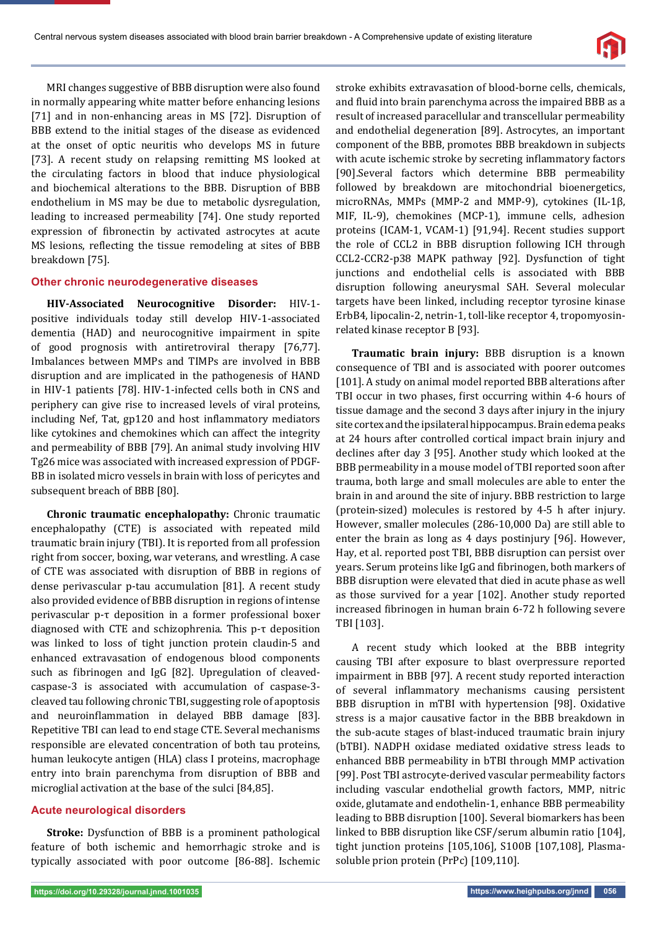

MRI changes suggestive of BBB disruption were also found in normally appearing white matter before enhancing lesions [71] and in non-enhancing areas in MS [72]. Disruption of BBB extend to the initial stages of the disease as evidenced at the onset of optic neuritis who develops MS in future [73]. A recent study on relapsing remitting MS looked at the circulating factors in blood that induce physiological and biochemical alterations to the BBB. Disruption of BBB endothelium in MS may be due to metabolic dysregulation, leading to increased permeability [74]. One study reported expression of fibronectin by activated astrocytes at acute MS lesions, reflecting the tissue remodeling at sites of BBB breakdown [75].

#### **Other chronic neurodegenerative diseases**

HIV-Associated Neurocognitive Disorder: HIV-1positive individuals today still develop HIV-1-associated dementia (HAD) and neurocognitive impairment in spite of good prognosis with antiretroviral therapy [76,77]. Imbalances between MMPs and TIMPs are involved in BBB disruption and are implicated in the pathogenesis of HAND in HIV-1 patients [78]. HIV-1-infected cells both in CNS and periphery can give rise to increased levels of viral proteins, including Nef, Tat, gp120 and host inflammatory mediators like cytokines and chemokines which can affect the integrity and permeability of BBB [79]. An animal study involving HIV Tg26 mice was associated with increased expression of PDGF-BB in isolated micro vessels in brain with loss of pericytes and subsequent breach of BBB [80].

**Chronic traumatic encephalopathy:** Chronic traumatic encephalopathy (CTE) is associated with repeated mild traumatic brain injury (TBI). It is reported from all profession right from soccer, boxing, war veterans, and wrestling. A case of CTE was associated with disruption of BBB in regions of dense perivascular p-tau accumulation [81]. A recent study also provided evidence of BBB disruption in regions of intense perivascular p-τ deposition in a former professional boxer diagnosed with CTE and schizophrenia. This  $p$ -τ deposition was linked to loss of tight junction protein claudin-5 and enhanced extravasation of endogenous blood components such as fibrinogen and IgG [82]. Upregulation of cleavedcaspase-3 is associated with accumulation of caspase-3 cleaved tau following chronic TBI, suggesting role of apoptosis and neuroinflammation in delayed BBB damage [83]. Repetitive TBI can lead to end stage CTE. Several mechanisms responsible are elevated concentration of both tau proteins, human leukocyte antigen (HLA) class I proteins, macrophage entry into brain parenchyma from disruption of BBB and microglial activation at the base of the sulci [84,85].

### **Acute neurological disorders**

**Stroke:** Dysfunction of BBB is a prominent pathological feature of both ischemic and hemorrhagic stroke and is typically associated with poor outcome [86-88]. Ischemic stroke exhibits extravasation of blood-borne cells, chemicals, and fluid into brain parenchyma across the impaired BBB as a result of increased paracellular and transcellular permeability and endothelial degeneration [89]. Astrocytes, an important component of the BBB, promotes BBB breakdown in subjects with acute ischemic stroke by secreting inflammatory factors [90].Several factors which determine BBB permeability followed by breakdown are mitochondrial bioenergetics, microRNAs, MMPs (MMP-2 and MMP-9), cytokines (IL-1β, MIF, IL-9), chemokines (MCP-1), immune cells, adhesion proteins (ICAM-1, VCAM-1) [91,94]. Recent studies support the role of CCL2 in BBB disruption following ICH through CCL2-CCR2-p38 MAPK pathway [92]. Dysfunction of tight junctions and endothelial cells is associated with BBB disruption following aneurysmal SAH. Several molecular targets have been linked, including receptor tyrosine kinase ErbB4, lipocalin-2, netrin-1, toll-like receptor 4, tropomyosinrelated kinase receptor B [93].

**Traumatic brain injury:** BBB disruption is a known consequence of TBI and is associated with poorer outcomes [101]. A study on animal model reported BBB alterations after TBI occur in two phases, first occurring within 4-6 hours of tissue damage and the second 3 days after injury in the injury site cortex and the ipsilateral hippocampus. Brain edema peaks at 24 hours after controlled cortical impact brain injury and declines after day 3 [95]. Another study which looked at the BBB permeability in a mouse model of TBI reported soon after trauma, both large and small molecules are able to enter the brain in and around the site of injury. BBB restriction to large (protein-sized) molecules is restored by 4-5 h after injury. However, smaller molecules (286-10,000 Da) are still able to enter the brain as long as 4 days postinjury [96]. However, Hay, et al. reported post TBI, BBB disruption can persist over years. Serum proteins like IgG and fibrinogen, both markers of BBB disruption were elevated that died in acute phase as well as those survived for a year [102]. Another study reported increased fibrinogen in human brain 6-72 h following severe TBI [103].

A recent study which looked at the BBB integrity causing TBI after exposure to blast overpressure reported impairment in BBB [97]. A recent study reported interaction of several inflammatory mechanisms causing persistent BBB disruption in mTBI with hypertension [98]. Oxidative stress is a major causative factor in the BBB breakdown in the sub-acute stages of blast-induced traumatic brain injury (bTBI). NADPH oxidase mediated oxidative stress leads to enhanced BBB permeability in bTBI through MMP activation [99]. Post TBI astrocyte-derived vascular permeability factors including vascular endothelial growth factors, MMP, nitric oxide, glutamate and endothelin-1, enhance BBB permeability leading to BBB disruption [100]. Several biomarkers has been linked to BBB disruption like CSF/serum albumin ratio [104], tight junction proteins [105,106], S100B [107,108], Plasmasoluble prion protein (PrPc) [109,110].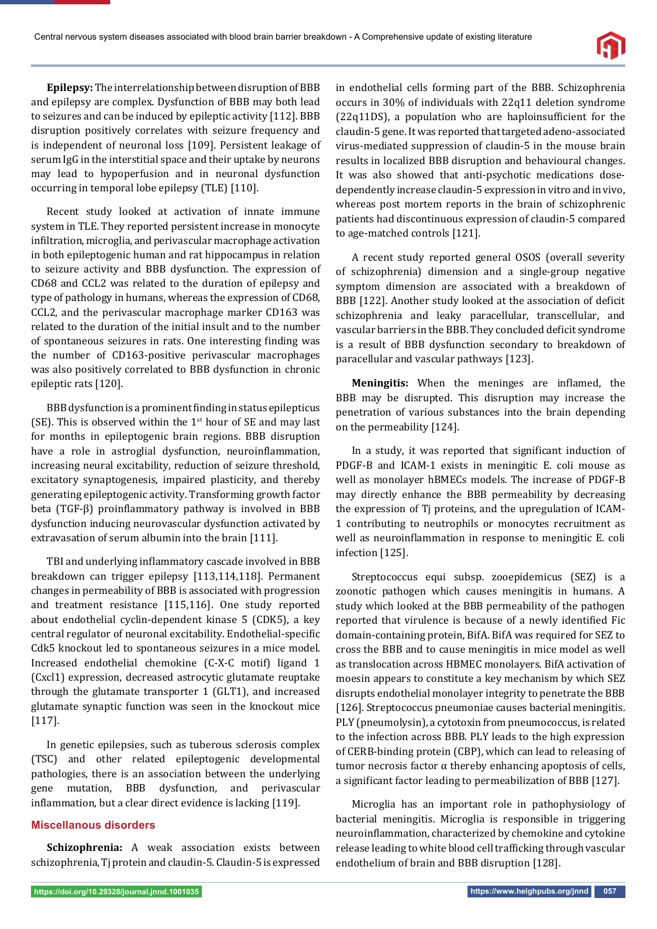

**Epilepsy:** The interrelationship between disruption of BBB and epilepsy are complex. Dysfunction of BBB may both lead to seizures and can be induced by epileptic activity [112]. BBB disruption positively correlates with seizure frequency and is independent of neuronal loss [109]. Persistent leakage of serum IgG in the interstitial space and their uptake by neurons may lead to hypoperfusion and in neuronal dysfunction occurring in temporal lobe epilepsy (TLE) [110].

Recent study looked at activation of innate immune system in TLE. They reported persistent increase in monocyte infiltration, microglia, and perivascular macrophage activation in both epileptogenic human and rat hippocampus in relation to seizure activity and BBB dysfunction. The expression of CD68 and CCL2 was related to the duration of epilepsy and type of pathology in humans, whereas the expression of CD68, CCL2, and the perivascular macrophage marker CD163 was related to the duration of the initial insult and to the number of spontaneous seizures in rats. One interesting finding was the number of CD163-positive perivascular macrophages was also positively correlated to BBB dysfunction in chronic epileptic rats [120].

BBB dysfunction is a prominent finding in status epilepticus (SE). This is observed within the  $1<sup>st</sup>$  hour of SE and may last for months in epileptogenic brain regions. BBB disruption have a role in astroglial dysfunction, neuroinflammation, increasing neural excitability, reduction of seizure threshold, excitatory synaptogenesis, impaired plasticity, and thereby generating epileptogenic activity. Transforming growth factor beta (TGF-β) proinflammatory pathway is involved in BBB dysfunction inducing neurovascular dysfunction activated by extravasation of serum albumin into the brain [111].

TBI and underlying inflammatory cascade involved in BBB breakdown can trigger epilepsy [113,114,118]. Permanent changes in permeability of BBB is associated with progression and treatment resistance [115,116]. One study reported about endothelial cyclin-dependent kinase 5 (CDK5), a key central regulator of neuronal excitability. Endothelial-specific Cdk5 knockout led to spontaneous seizures in a mice model. Increased endothelial chemokine (C-X-C motif) ligand 1 (Cxcl1) expression, decreased astrocytic glutamate reuptake through the glutamate transporter 1 (GLT1), and increased glutamate synaptic function was seen in the knockout mice [117].

In genetic epilepsies, such as tuberous sclerosis complex (TSC) and other related epileptogenic developmental pathologies, there is an association between the underlying gene mutation, BBB dysfunction, and perivascular inflammation, but a clear direct evidence is lacking [119].

## **Miscellanous disorders**

**Schizophrenia:** A weak association exists between schizophrenia, Tj protein and claudin-5. Claudin-5 is expressed in endothelial cells forming part of the BBB. Schizophrenia occurs in 30% of individuals with 22q11 deletion syndrome  $(22q11DS)$ , a population who are haploinsufficient for the claudin-5 gene. It was reported that targeted adeno-associated virus-mediated suppression of claudin-5 in the mouse brain results in localized BBB disruption and behavioural changes. It was also showed that anti-psychotic medications dosedependently increase claudin-5 expression in vitro and in vivo, whereas post mortem reports in the brain of schizophrenic patients had discontinuous expression of claudin-5 compared to age-matched controls [121].

A recent study reported general OSOS (overall severity of schizophrenia) dimension and a single-group negative symptom dimension are associated with a breakdown of BBB [122]. Another study looked at the association of deficit schizophrenia and leaky paracellular, transcellular, and vascular barriers in the BBB. They concluded deficit syndrome is a result of BBB dysfunction secondary to breakdown of paracellular and vascular pathways [123].

**Meningitis:** When the meninges are inflamed, the BBB may be disrupted. This disruption may increase the penetration of various substances into the brain depending on the permeability [124].

In a study, it was reported that significant induction of PDGF-B and ICAM-1 exists in meningitic E. coli mouse as well as monolayer hBMECs models. The increase of PDGF-B may directly enhance the BBB permeability by decreasing the expression of Tj proteins, and the upregulation of ICAM-1 contributing to neutrophils or monocytes recruitment as well as neuroinflammation in response to meningitic E. coli infection [125].

Streptococcus equi subsp. zooepidemicus (SEZ) is a zoonotic pathogen which causes meningitis in humans. A study which looked at the BBB permeability of the pathogen reported that virulence is because of a newly identified Fic domain-containing protein, BifA. BifA was required for SEZ to cross the BBB and to cause meningitis in mice model as well as translocation across HBMEC monolayers. BifA activation of moesin appears to constitute a key mechanism by which SEZ disrupts endothelial monolayer integrity to penetrate the BBB [126]. Streptococcus pneumoniae causes bacterial meningitis. PLY (pneumolysin), a cytotoxin from pneumococcus, is related to the infection across BBB. PLY leads to the high expression of CERB-binding protein (CBP), which can lead to releasing of tumor necrosis factor α thereby enhancing apoptosis of cells, a significant factor leading to permeabilization of BBB [127].

Microglia has an important role in pathophysiology of bacterial meningitis. Microglia is responsible in triggering neuroinflammation, characterized by chemokine and cytokine release leading to white blood cell trafficking through vascular endothelium of brain and BBB disruption [128].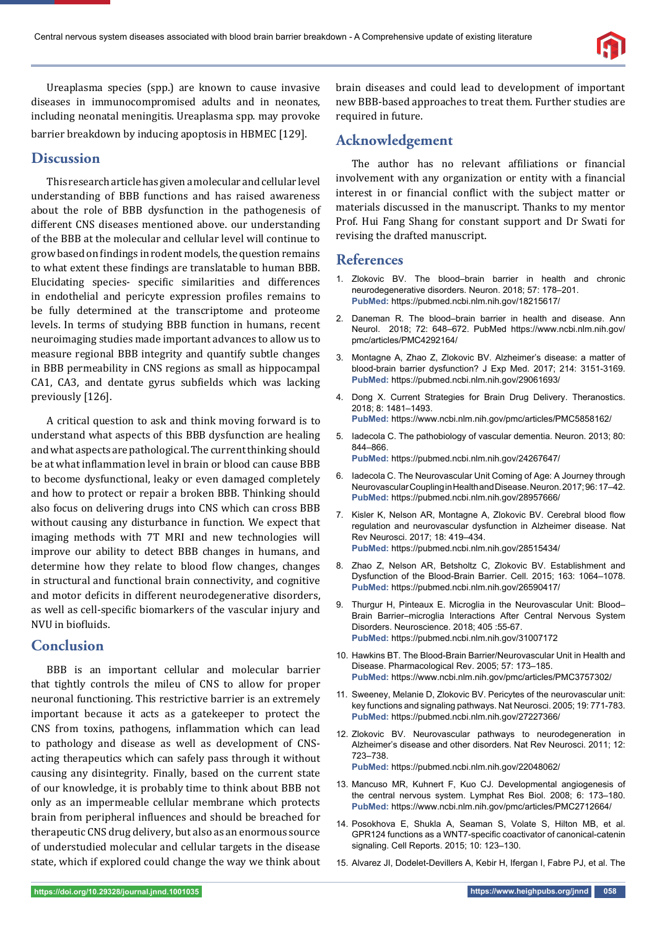

Ureaplasma species (spp.) are known to cause invasive diseases in immunocompromised adults and in neonates, including neonatal meningitis. Ureaplasma spp. may provoke barrier breakdown by inducing apoptosis in HBMEC [129].

## **Discussion**

This research article has given a molecular and cellular level understanding of BBB functions and has raised awareness about the role of BBB dysfunction in the pathogenesis of different CNS diseases mentioned above. our understanding of the BBB at the molecular and cellular level will continue to grow based on findings in rodent models, the question remains to what extent these findings are translatable to human BBB. Elucidating species- specific similarities and differences in endothelial and pericyte expression profiles remains to be fully determined at the transcriptome and proteome levels. In terms of studying BBB function in humans, recent neuroimaging studies made important advances to allow us to measure regional BBB integrity and quantify subtle changes in BBB permeability in CNS regions as small as hippocampal CA1, CA3, and dentate gyrus subfields which was lacking previously [126].

A critical question to ask and think moving forward is to understand what aspects of this BBB dysfunction are healing and what aspects are pathological. The current thinking should be at what inflammation level in brain or blood can cause BBB to become dysfunctional, leaky or even damaged completely and how to protect or repair a broken BBB. Thinking should also focus on delivering drugs into CNS which can cross BBB without causing any disturbance in function. We expect that imaging methods with 7T MRI and new technologies will improve our ability to detect BBB changes in humans, and determine how they relate to blood flow changes, changes in structural and functional brain connectivity, and cognitive and motor deficits in different neurodegenerative disorders, as well as cell-specific biomarkers of the vascular injury and NVU in biofluids.

## **Conclusion**

BBB is an important cellular and molecular barrier that tightly controls the mileu of CNS to allow for proper neuronal functioning. This restrictive barrier is an extremely important because it acts as a gatekeeper to protect the CNS from toxins, pathogens, inflammation which can lead to pathology and disease as well as development of CNSacting therapeutics which can safely pass through it without causing any disintegrity. Finally, based on the current state of our knowledge, it is probably time to think about BBB not only as an impermeable cellular membrane which protects brain from peripheral influences and should be breached for therapeutic CNS drug delivery, but also as an enormous source of understudied molecular and cellular targets in the disease state, which if explored could change the way we think about

brain diseases and could lead to development of important new BBB-based approaches to treat them. Further studies are required in future.

# **Acknowledgement**

The author has no relevant affiliations or financial involvement with any organization or entity with a financial interest in or financial conflict with the subject matter or materials discussed in the manuscript. Thanks to my mentor Prof. Hui Fang Shang for constant support and Dr Swati for revising the drafted manuscript.

## **References**

- 1. Zlokovic BV. The blood–brain barrier in health and chronic neurodegenerative disorders. Neuron. 2018; 57: 178–201. **PubMed:** https://pubmed.ncbi.nlm.nih.gov/18215617/
- 2. Daneman R. The blood–brain barrier in health and disease. Ann Neurol. 2018; 72: 648–672. PubMed https://www.ncbi.nlm.nih.gov/ pmc/articles/PMC4292164/
- 3. Montagne A, Zhao Z, Zlokovic BV. Alzheimer's disease: a matter of blood-brain barrier dysfunction? J Exp Med. 2017; 214: 3151-3169. **PubMed:** https://pubmed.ncbi.nlm.nih.gov/29061693/
- 4. Dong X. Current Strategies for Brain Drug Delivery. Theranostics. 2018; 8: 1481–1493. **PubMed:** https://www.ncbi.nlm.nih.gov/pmc/articles/PMC5858162/
- 5. Iadecola C. The pathobiology of vascular dementia. Neuron. 2013; 80: 844–866. **PubMed:** https://pubmed.ncbi.nlm.nih.gov/24267647/
- 6. Iadecola C. The Neurovascular Unit Coming of Age: A Journey through Neurovascular Coupling in Health and Disease. Neuron. 2017; 96: 17–42. **PubMed:** https://pubmed.ncbi.nlm.nih.gov/28957666/
- 7. Kisler K, Nelson AR, Montagne A, Zlokovic BV, Cerebral blood flow regulation and neurovascular dysfunction in Alzheimer disease. Nat Rev Neurosci. 2017; 18: 419–434. **PubMed:** https://pubmed.ncbi.nlm.nih.gov/28515434/
- 8. Zhao Z, Nelson AR, Betsholtz C, Zlokovic BV. Establishment and Dysfunction of the Blood-Brain Barrier. Cell. 2015; 163: 1064–1078. **PubMed:** https://pubmed.ncbi.nlm.nih.gov/26590417/
- 9. Thurgur H, Pinteaux E. Microglia in the Neurovascular Unit: Blood– Brain Barrier–microglia Interactions After Central Nervous System Disorders. Neuroscience. 2018; 405 :55-67. **PubMed:** https://pubmed.ncbi.nlm.nih.gov/31007172
- 10. Hawkins BT. The Blood-Brain Barrier/Neurovascular Unit in Health and Disease. Pharmacological Rev. 2005; 57: 173–185. **PubMed:** https://www.ncbi.nlm.nih.gov/pmc/articles/PMC3757302/
- 11. Sweeney, Melanie D, Zlokovic BV. Pericytes of the neurovascular unit: key functions and signaling pathways. Nat Neurosci. 2005; 19: 771-783. **PubMed:** https://pubmed.ncbi.nlm.nih.gov/27227366/
- 12. Zlokovic BV. Neurovascular pathways to neurodegeneration in Alzheimer's disease and other disorders. Nat Rev Neurosci. 2011; 12: 723–738. **PubMed:** https://pubmed.ncbi.nlm.nih.gov/22048062/
- 13. Mancuso MR, Kuhnert F, Kuo CJ. Developmental angiogenesis of the central nervous system. Lymphat Res Biol. 2008; 6: 173–180. **PubMed:** https://www.ncbi.nlm.nih.gov/pmc/articles/PMC2712664/
- 14. Posokhova E, Shukla A, Seaman S, Volate S, Hilton MB, et al. GPR124 functions as a WNT7-specific coactivator of canonical-catenin signaling. Cell Reports. 2015; 10: 123–130.
- 15. Alvarez JI, Dodelet-Devillers A, Kebir H, Ifergan I, Fabre PJ, et al. The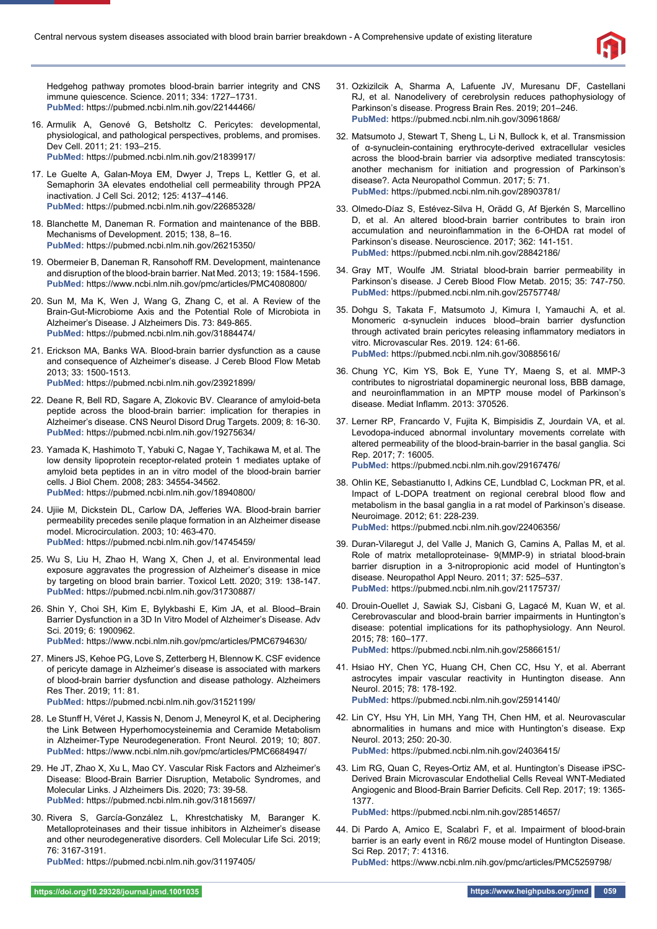

Hedgehog pathway promotes blood-brain barrier integrity and CNS immune quiescence. Science. 2011; 334: 1727–1731. **PubMed:** https://pubmed.ncbi.nlm.nih.gov/22144466/

- 16. Armulik A, Genové G, Betsholtz C. Pericytes: developmental, physiological, and pathological perspectives, problems, and promises. Dev Cell. 2011; 21: 193–215. **PubMed:** https://pubmed.ncbi.nlm.nih.gov/21839917/
- 17. Le Guelte A, Galan-Moya EM, Dwyer J, Treps L, Kettler G, et al. Semaphorin 3A elevates endothelial cell permeability through PP2A inactivation. J Cell Sci. 2012; 125: 4137–4146. **PubMed:** https://pubmed.ncbi.nlm.nih.gov/22685328/
- 18. Blanchette M, Daneman R. Formation and maintenance of the BBB. Mechanisms of Development. 2015; 138, 8–16. **PubMed:** https://pubmed.ncbi.nlm.nih.gov/26215350/
- 19. Obermeier B, Daneman R, Ransohoff RM. Development, maintenance and disruption of the blood-brain barrier. Nat Med. 2013; 19: 1584-1596. **PubMed:** https://www.ncbi.nlm.nih.gov/pmc/articles/PMC4080800/
- 20. Sun M, Ma K, Wen J, Wang G, Zhang C, et al. A Review of the Brain-Gut-Microbiome Axis and the Potential Role of Microbiota in Alzheimer's Disease. J Alzheimers Dis. 73: 849-865. **PubMed:** https://pubmed.ncbi.nlm.nih.gov/31884474/
- 21. Erickson MA, Banks WA. Blood-brain barrier dysfunction as a cause and consequence of Alzheimer's disease. J Cereb Blood Flow Metab 2013; 33: 1500-1513. **PubMed:** https://pubmed.ncbi.nlm.nih.gov/23921899/
- 22. Deane R, Bell RD, Sagare A, Zlokovic BV. Clearance of amyloid-beta peptide across the blood-brain barrier: implication for therapies in Alzheimer's disease. CNS Neurol Disord Drug Targets. 2009; 8: 16-30. **PubMed:** https://pubmed.ncbi.nlm.nih.gov/19275634/
- 23. Yamada K, Hashimoto T, Yabuki C, Nagae Y, Tachikawa M, et al. The low density lipoprotein receptor-related protein 1 mediates uptake of amyloid beta peptides in an in vitro model of the blood-brain barrier cells. J Biol Chem. 2008; 283: 34554-34562. **PubMed:** https://pubmed.ncbi.nlm.nih.gov/18940800/
- 24. Ujiie M, Dickstein DL, Carlow DA, Jefferies WA. Blood-brain barrier permeability precedes senile plaque formation in an Alzheimer disease model. Microcirculation. 2003; 10: 463-470. **PubMed:** https://pubmed.ncbi.nlm.nih.gov/14745459/
- 25. Wu S, Liu H, Zhao H, Wang X, Chen J, et al. Environmental lead exposure aggravates the progression of Alzheimer's disease in mice by targeting on blood brain barrier. Toxicol Lett. 2020; 319: 138-147. **PubMed:** https://pubmed.ncbi.nlm.nih.gov/31730887/
- 26. Shin Y, Choi SH, Kim E, Bylykbashi E, Kim JA, et al. Blood–Brain Barrier Dysfunction in a 3D In Vitro Model of Alzheimer's Disease. Adv Sci. 2019; 6: 1900962. **PubMed:** https://www.ncbi.nlm.nih.gov/pmc/articles/PMC6794630/
- 27. Miners JS, Kehoe PG, Love S, Zetterberg H, Blennow K. CSF evidence of pericyte damage in Alzheimer's disease is associated with markers of blood-brain barrier dysfunction and disease pathology. Alzheimers Res Ther. 2019; 11: 81.

**PubMed:** https://pubmed.ncbi.nlm.nih.gov/31521199/

- 28. Le Stunff H, Véret J, Kassis N, Denom J, Meneyrol K, et al. Deciphering the Link Between Hyperhomocysteinemia and Ceramide Metabolism in Alzheimer-Type Neurodegeneration. Front Neurol. 2019; 10; 807. **PubMed:** https://www.ncbi.nlm.nih.gov/pmc/articles/PMC6684947/
- 29. He JT, Zhao X, Xu L, Mao CY. Vascular Risk Factors and Alzheimer's Disease: Blood-Brain Barrier Disruption, Metabolic Syndromes, and Molecular Links. J Alzheimers Dis. 2020; 73: 39-58. **PubMed:** https://pubmed.ncbi.nlm.nih.gov/31815697/
- 30. Rivera S, García-González L, Khrestchatisky M, Baranger K. Metalloproteinases and their tissue inhibitors in Alzheimer's disease and other neurodegenerative disorders. Cell Molecular Life Sci. 2019; 76: 3167-3191.

**PubMed:** https://pubmed.ncbi.nlm.nih.gov/31197405/

- 31. Ozkizilcik A, Sharma A, Lafuente JV, Muresanu DF, Castellani RJ, et al. Nanodelivery of cerebrolysin reduces pathophysiology of Parkinson's disease. Progress Brain Res. 2019; 201–246. **PubMed:** https://pubmed.ncbi.nlm.nih.gov/30961868/
- 32. Matsumoto J, Stewart T, Sheng L, Li N, Bullock k, et al. Transmission of α-synuclein-containing erythrocyte-derived extracellular vesicles across the blood-brain barrier via adsorptive mediated transcytosis: another mechanism for initiation and progression of Parkinson's disease?. Acta Neuropathol Commun. 2017; 5: 71. **PubMed:** https://pubmed.ncbi.nlm.nih.gov/28903781/
- 33. Olmedo-Díaz S, Estévez-Silva H, Orädd G, Af Bjerkén S, Marcellino D, et al. An altered blood-brain barrier contributes to brain iron accumulation and neuroinflammation in the 6-OHDA rat model of Parkinson's disease. Neuroscience. 2017; 362: 141-151. **PubMed:** https://pubmed.ncbi.nlm.nih.gov/28842186/
- 34. Gray MT, Woulfe JM. Striatal blood-brain barrier permeability in Parkinson's disease. J Cereb Blood Flow Metab. 2015; 35: 747-750. **PubMed:** https://pubmed.ncbi.nlm.nih.gov/25757748/
- 35. Dohgu S, Takata F, Matsumoto J, Kimura I, Yamauchi A, et al. Monomeric α-synuclein induces blood–brain barrier dysfunction through activated brain pericytes releasing inflammatory mediators in vitro. Microvascular Res. 2019. 124: 61-66. **PubMed:** https://pubmed.ncbi.nlm.nih.gov/30885616/
- 36. Chung YC, Kim YS, Bok E, Yune TY, Maeng S, et al. MMP-3 contributes to nigrostriatal dopaminergic neuronal loss, BBB damage, and neuroinflammation in an MPTP mouse model of Parkinson's disease. Mediat Inflamm. 2013: 370526.
- 37. Lerner RP, Francardo V, Fujita K, Bimpisidis Z, Jourdain VA, et al. Levodopa-induced abnormal involuntary movements correlate with altered permeability of the blood-brain-barrier in the basal ganglia. Sci Rep. 2017; 7: 16005.

**PubMed:** https://pubmed.ncbi.nlm.nih.gov/29167476/

- 38. Ohlin KE, Sebastianutto I, Adkins CE, Lundblad C, Lockman PR, et al. Impact of L-DOPA treatment on regional cerebral blood flow and metabolism in the basal ganglia in a rat model of Parkinson's disease. Neuroimage. 2012; 61: 228-239. **PubMed:** https://pubmed.ncbi.nlm.nih.gov/22406356/
- 39. Duran-Vilaregut J, del Valle J, Manich G, Camins A, Pallas M, et al. Role of matrix metalloproteinase- 9(MMP-9) in striatal blood-brain barrier disruption in a 3-nitropropionic acid model of Huntington's disease. Neuropathol Appl Neuro. 2011; 37: 525–537. **PubMed:** https://pubmed.ncbi.nlm.nih.gov/21175737/
- 40. Drouin-Ouellet J, Sawiak SJ, Cisbani G, Lagacé M, Kuan W, et al. Cerebrovascular and blood-brain barrier impairments in Huntington's disease: potential implications for its pathophysiology. Ann Neurol. 2015; 78: 160–177. **PubMed:** https://pubmed.ncbi.nlm.nih.gov/25866151/
- 41. Hsiao HY, Chen YC, Huang CH, Chen CC, Hsu Y, et al. Aberrant astrocytes impair vascular reactivity in Huntington disease. Ann Neurol. 2015; 78: 178-192. **PubMed:** https://pubmed.ncbi.nlm.nih.gov/25914140/
- 42. Lin CY, Hsu YH, Lin MH, Yang TH, Chen HM, et al. Neurovascular abnormalities in humans and mice with Huntington's disease. Exp Neurol. 2013; 250: 20-30. **PubMed:** https://pubmed.ncbi.nlm.nih.gov/24036415/
- 43. Lim RG, Quan C, Reyes-Ortiz AM, et al. Huntington's Disease iPSC-Derived Brain Microvascular Endothelial Cells Reveal WNT-Mediated Angiogenic and Blood-Brain Barrier Deficits. Cell Rep. 2017; 19: 1365-1377.

**PubMed:** https://pubmed.ncbi.nlm.nih.gov/28514657/

44. Di Pardo A, Amico E, Scalabrì F, et al. Impairment of blood-brain barrier is an early event in R6/2 mouse model of Huntington Disease. Sci Rep. 2017; 7: 41316. **PubMed:** https://www.ncbi.nlm.nih.gov/pmc/articles/PMC5259798/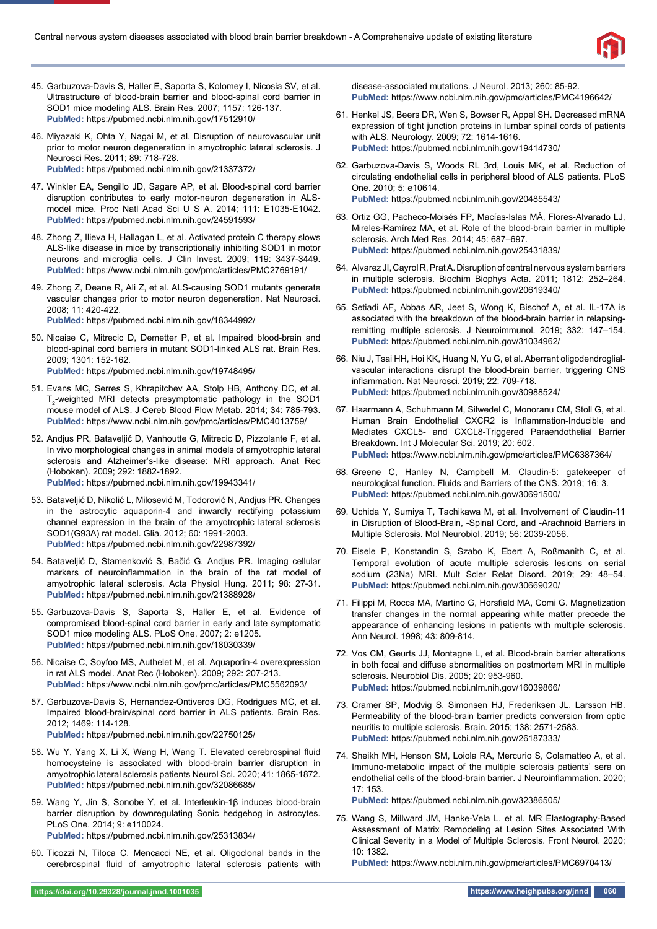

- 45. Garbuzova-Davis S, Haller E, Saporta S, Kolomey I, Nicosia SV, et al. Ultrastructure of blood-brain barrier and blood-spinal cord barrier in SOD1 mice modeling ALS. Brain Res. 2007; 1157: 126-137. **PubMed:** https://pubmed.ncbi.nlm.nih.gov/17512910/
- 46. Miyazaki K, Ohta Y, Nagai M, et al. Disruption of neurovascular unit prior to motor neuron degeneration in amyotrophic lateral sclerosis. J Neurosci Res. 2011; 89: 718-728. **PubMed:** https://pubmed.ncbi.nlm.nih.gov/21337372/
- 47. Winkler EA, Sengillo JD, Sagare AP, et al. Blood-spinal cord barrier disruption contributes to early motor-neuron degeneration in ALSmodel mice. Proc Natl Acad Sci U S A. 2014; 111: E1035-E1042. **PubMed:** https://pubmed.ncbi.nlm.nih.gov/24591593/
- 48. Zhong Z, Ilieva H, Hallagan L, et al. Activated protein C therapy slows ALS-like disease in mice by transcriptionally inhibiting SOD1 in motor neurons and microglia cells. J Clin Invest. 2009; 119: 3437-3449. **PubMed:** https://www.ncbi.nlm.nih.gov/pmc/articles/PMC2769191/
- 49. Zhong Z, Deane R, Ali Z, et al. ALS-causing SOD1 mutants generate vascular changes prior to motor neuron degeneration. Nat Neurosci. 2008; 11: 420-422. **PubMed:** https://pubmed.ncbi.nlm.nih.gov/18344992/
- 50. Nicaise C, Mitrecic D, Demetter P, et al. Impaired blood-brain and blood-spinal cord barriers in mutant SOD1-linked ALS rat. Brain Res. 2009; 1301: 152-162.

**PubMed:** https://pubmed.ncbi.nlm.nih.gov/19748495/

- 51. Evans MC, Serres S, Khrapitchev AA, Stolp HB, Anthony DC, et al.  $T_{2}$ -weighted MRI detects presymptomatic pathology in the SOD1 mouse model of ALS. J Cereb Blood Flow Metab. 2014; 34: 785-793. **PubMed:** https://www.ncbi.nlm.nih.gov/pmc/articles/PMC4013759/
- 52. Andjus PR, Bataveljić D, Vanhoutte G, Mitrecic D, Pizzolante F, et al. In vivo morphological changes in animal models of amyotrophic lateral sclerosis and Alzheimer's-like disease: MRI approach. Anat Rec (Hoboken). 2009; 292: 1882-1892.

**PubMed:** https://pubmed.ncbi.nlm.nih.gov/19943341/

- 53. Bataveljić D, Nikolić L, Milosević M, Todorović N, Andjus PR. Changes in the astrocytic aquaporin-4 and inwardly rectifying potassium channel expression in the brain of the amyotrophic lateral sclerosis SOD1(G93A) rat model. Glia. 2012; 60: 1991-2003. **PubMed:** https://pubmed.ncbi.nlm.nih.gov/22987392/
- 54. Bataveljić D, Stamenković S, Bačić G, Andjus PR. Imaging cellular markers of neuroinflammation in the brain of the rat model of amyotrophic lateral sclerosis. Acta Physiol Hung. 2011; 98: 27-31. **PubMed:** https://pubmed.ncbi.nlm.nih.gov/21388928/
- 55. Garbuzova-Davis S, Saporta S, Haller E, et al. Evidence of compromised blood-spinal cord barrier in early and late symptomatic SOD1 mice modeling ALS. PLoS One. 2007; 2: e1205. **PubMed:** https://pubmed.ncbi.nlm.nih.gov/18030339/
- 56. Nicaise C, Soyfoo MS, Authelet M, et al. Aquaporin-4 overexpression in rat ALS model. Anat Rec (Hoboken). 2009; 292: 207-213. **PubMed:** https://www.ncbi.nlm.nih.gov/pmc/articles/PMC5562093/
- 57. Garbuzova-Davis S, Hernandez-Ontiveros DG, Rodrigues MC, et al. Impaired blood-brain/spinal cord barrier in ALS patients. Brain Res. 2012; 1469: 114-128. **PubMed:** https://pubmed.ncbi.nlm.nih.gov/22750125/
- 58. Wu Y, Yang X, Li X, Wang H, Wang T. Elevated cerebrospinal fluid homocysteine is associated with blood-brain barrier disruption in amyotrophic lateral sclerosis patients Neurol Sci. 2020; 41: 1865-1872. **PubMed:** https://pubmed.ncbi.nlm.nih.gov/32086685/
- 59. Wang Y, Jin S, Sonobe Y, et al. Interleukin-1β induces blood-brain barrier disruption by downregulating Sonic hedgehog in astrocytes. PLoS One. 2014; 9: e110024. **PubMed:** https://pubmed.ncbi.nlm.nih.gov/25313834/
- 60. Ticozzi N, Tiloca C, Mencacci NE, et al. Oligoclonal bands in the cerebrospinal fluid of amyotrophic lateral sclerosis patients with

disease-associated mutations. J Neurol. 2013; 260: 85-92. **PubMed:** https://www.ncbi.nlm.nih.gov/pmc/articles/PMC4196642/

- 61. Henkel JS, Beers DR, Wen S, Bowser R, Appel SH. Decreased mRNA expression of tight junction proteins in lumbar spinal cords of patients with ALS. Neurology. 2009; 72: 1614-1616. **PubMed:** https://pubmed.ncbi.nlm.nih.gov/19414730/
- 62. Garbuzova-Davis S, Woods RL 3rd, Louis MK, et al. Reduction of circulating endothelial cells in peripheral blood of ALS patients. PLoS One. 2010; 5: e10614. **PubMed:** https://pubmed.ncbi.nlm.nih.gov/20485543/
- 63. Ortiz GG, Pacheco-Moisés FP, Macías-Islas MÁ, Flores-Alvarado LJ, Mireles-Ramírez MA, et al. Role of the blood-brain barrier in multiple sclerosis. Arch Med Res. 2014; 45: 687–697. **PubMed:** https://pubmed.ncbi.nlm.nih.gov/25431839/
- 64. Alvarez JI, Cayrol R, Prat A. Disruption of central nervous system barriers in multiple sclerosis. Biochim Biophys Acta. 2011; 1812: 252–264. **PubMed:** https://pubmed.ncbi.nlm.nih.gov/20619340/
- 65. Setiadi AF, Abbas AR, Jeet S, Wong K, Bischof A, et al. IL-17A is associated with the breakdown of the blood-brain barrier in relapsingremitting multiple sclerosis. J Neuroimmunol. 2019; 332: 147–154. **PubMed:** https://pubmed.ncbi.nlm.nih.gov/31034962/
- 66. Niu J, Tsai HH, Hoi KK, Huang N, Yu G, et al. Aberrant oligodendroglialvascular interactions disrupt the blood-brain barrier, triggering CNS inflammation. Nat Neurosci. 2019; 22: 709-718. **PubMed:** https://pubmed.ncbi.nlm.nih.gov/30988524/
- 67. Haarmann A, Schuhmann M, Silwedel C, Monoranu CM, Stoll G, et al. Human Brain Endothelial CXCR2 is Inflammation-Inducible and Mediates CXCL5- and CXCL8-Triggered Paraendothelial Barrier Breakdown. Int J Molecular Sci. 2019; 20: 602. **PubMed:** https://www.ncbi.nlm.nih.gov/pmc/articles/PMC6387364/
- 68. Greene C, Hanley N, Campbell M. Claudin-5: gatekeeper of neurological function. Fluids and Barriers of the CNS. 2019; 16: 3. **PubMed:** https://pubmed.ncbi.nlm.nih.gov/30691500/
- 69. Uchida Y, Sumiya T, Tachikawa M, et al. Involvement of Claudin-11 in Disruption of Blood-Brain, -Spinal Cord, and -Arachnoid Barriers in Multiple Sclerosis. Mol Neurobiol. 2019; 56: 2039-2056.
- 70. Eisele P, Konstandin S, Szabo K, Ebert A, Roßmanith C, et al. Temporal evolution of acute multiple sclerosis lesions on serial sodium (23Na) MRI. Mult Scler Relat Disord. 2019; 29: 48–54. **PubMed:** https://pubmed.ncbi.nlm.nih.gov/30669020/
- 71. Filippi M, Rocca MA, Martino G, Horsfield MA, Comi G. Magnetization transfer changes in the normal appearing white matter precede the appearance of enhancing lesions in patients with multiple sclerosis. Ann Neurol. 1998; 43: 809-814.
- 72. Vos CM, Geurts JJ, Montagne L, et al. Blood-brain barrier alterations in both focal and diffuse abnormalities on postmortem MRI in multiple sclerosis. Neurobiol Dis. 2005; 20: 953-960. **PubMed:** https://pubmed.ncbi.nlm.nih.gov/16039866/
- 73. Cramer SP, Modvig S, Simonsen HJ, Frederiksen JL, Larsson HB. Permeability of the blood-brain barrier predicts conversion from optic neuritis to multiple sclerosis. Brain. 2015; 138: 2571-2583. **PubMed:** https://pubmed.ncbi.nlm.nih.gov/26187333/
- 74. Sheikh MH, Henson SM, Loiola RA, Mercurio S, Colamatteo A, et al. Immuno-metabolic impact of the multiple sclerosis patients' sera on endothelial cells of the blood-brain barrier. J Neuroinflammation. 2020; 17: 153.

**PubMed:** https://pubmed.ncbi.nlm.nih.gov/32386505/

75. Wang S, Millward JM, Hanke-Vela L, et al. MR Elastography-Based Assessment of Matrix Remodeling at Lesion Sites Associated With Clinical Severity in a Model of Multiple Sclerosis. Front Neurol. 2020; 10: 1382.

**PubMed:** https://www.ncbi.nlm.nih.gov/pmc/articles/PMC6970413/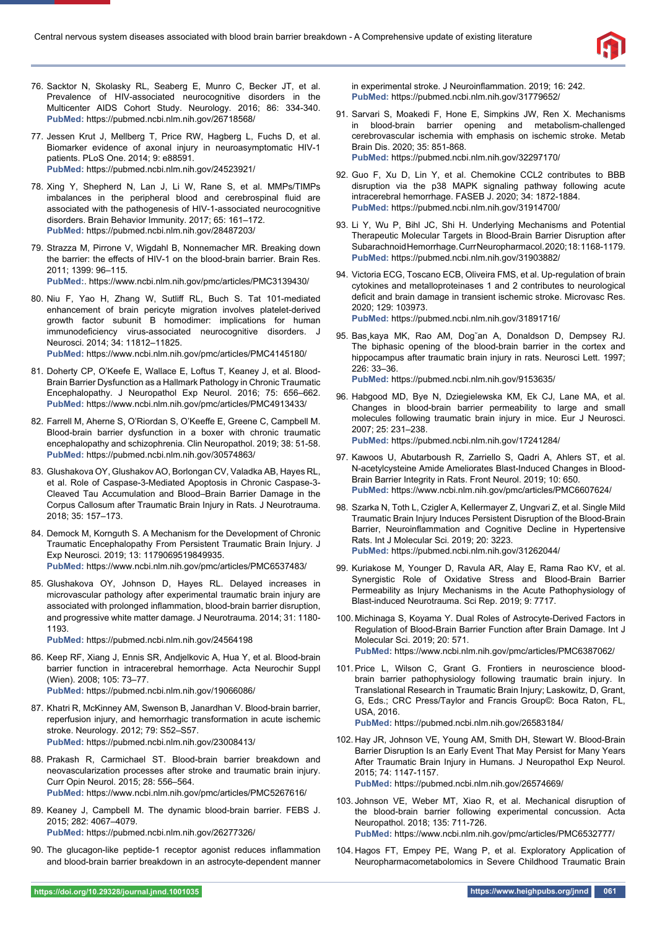

- 76. Sacktor N, Skolasky RL, Seaberg E, Munro C, Becker JT, et al. Prevalence of HIV-associated neurocognitive disorders in the Multicenter AIDS Cohort Study. Neurology. 2016; 86: 334-340. **PubMed:** https://pubmed.ncbi.nlm.nih.gov/26718568/
- 77. Jessen Krut J, Mellberg T, Price RW, Hagberg L, Fuchs D, et al. Biomarker evidence of axonal injury in neuroasymptomatic HIV-1 patients. PLoS One. 2014; 9: e88591. **PubMed:** https://pubmed.ncbi.nlm.nih.gov/24523921/
- 78. Xing Y, Shepherd N, Lan J, Li W, Rane S, et al. MMPs/TIMPs imbalances in the peripheral blood and cerebrospinal fluid are associated with the pathogenesis of HIV-1-associated neurocognitive disorders. Brain Behavior Immunity. 2017; 65: 161–172. **PubMed:** https://pubmed.ncbi.nlm.nih.gov/28487203/
- 79. Strazza M, Pirrone V, Wigdahl B, Nonnemacher MR. Breaking down the barrier: the effects of HIV-1 on the blood-brain barrier. Brain Res. 2011; 1399: 96–115. **PubMed:**. https://www.ncbi.nlm.nih.gov/pmc/articles/PMC3139430/
- 80. Niu F, Yao H, Zhang W, Sutliff RL, Buch S. Tat 101-mediated enhancement of brain pericyte migration involves platelet-derived growth factor subunit B homodimer: implications for human immunodeficiency virus-associated neurocognitive disorders. J Neurosci. 2014; 34: 11812–11825. **PubMed:** https://www.ncbi.nlm.nih.gov/pmc/articles/PMC4145180/
- 81. Doherty CP, O'Keefe E, Wallace E, Loftus T, Keaney J, et al. Blood-
- Brain Barrier Dysfunction as a Hallmark Pathology in Chronic Traumatic Encephalopathy. J Neuropathol Exp Neurol. 2016; 75: 656–662. **PubMed:** https://www.ncbi.nlm.nih.gov/pmc/articles/PMC4913433/
- 82. Farrell M, Aherne S, O'Riordan S, O'Keeffe E, Greene C, Campbell M, Blood-brain barrier dysfunction in a boxer with chronic traumatic encephalopathy and schizophrenia. Clin Neuropathol. 2019; 38: 51-58. **PubMed:** https://pubmed.ncbi.nlm.nih.gov/30574863/
- 83. Glushakova OY, Glushakov AO, Borlongan CV, Valadka AB, Hayes RL, et al. Role of Caspase-3-Mediated Apoptosis in Chronic Caspase-3- Cleaved Tau Accumulation and Blood–Brain Barrier Damage in the Corpus Callosum after Traumatic Brain Injury in Rats. J Neurotrauma. 2018; 35: 157–173.
- 84. Demock M, Kornguth S. A Mechanism for the Development of Chronic Traumatic Encephalopathy From Persistent Traumatic Brain Injury. J Exp Neurosci. 2019; 13: 1179069519849935. **PubMed:** https://www.ncbi.nlm.nih.gov/pmc/articles/PMC6537483/
- 85. Glushakova OY, Johnson D, Hayes RL. Delayed increases in microvascular pathology after experimental traumatic brain injury are associated with prolonged inflammation, blood-brain barrier disruption, and progressive white matter damage. J Neurotrauma. 2014; 31: 1180- 1193.

**PubMed:** https://pubmed.ncbi.nlm.nih.gov/24564198

- 86. Keep RF, Xiang J, Ennis SR, Andjelkovic A, Hua Y, et al. Blood-brain barrier function in intracerebral hemorrhage. Acta Neurochir Suppl (Wien). 2008; 105: 73–77. **PubMed:** https://pubmed.ncbi.nlm.nih.gov/19066086/
- 87. Khatri R, McKinney AM, Swenson B, Janardhan V. Blood-brain barrier, reperfusion injury, and hemorrhagic transformation in acute ischemic stroke. Neurology. 2012; 79: S52–S57. **PubMed:** https://pubmed.ncbi.nlm.nih.gov/23008413/
- 88. Prakash R, Carmichael ST. Blood-brain barrier breakdown and neovascularization processes after stroke and traumatic brain injury. Curr Opin Neurol. 2015; 28: 556–564. **PubMed:** https://www.ncbi.nlm.nih.gov/pmc/articles/PMC5267616/
- 89. Keaney J, Campbell M. The dynamic blood-brain barrier. FEBS J. 2015; 282: 4067–4079.

**PubMed:** https://pubmed.ncbi.nlm.nih.gov/26277326/

90. The glucagon-like peptide-1 receptor agonist reduces inflammation and blood-brain barrier breakdown in an astrocyte-dependent manner

in experimental stroke. J Neuroinflammation. 2019; 16: 242. **PubMed:** https://pubmed.ncbi.nlm.nih.gov/31779652/

- 91. Sarvari S, Moakedi F, Hone E, Simpkins JW, Ren X. Mechanisms in blood-brain barrier opening and metabolism-challenged cerebrovascular ischemia with emphasis on ischemic stroke. Metab Brain Dis. 2020; 35: 851-868. **PubMed:** https://pubmed.ncbi.nlm.nih.gov/32297170/
- 92. Guo F, Xu D, Lin Y, et al. Chemokine CCL2 contributes to BBB disruption via the p38 MAPK signaling pathway following acute intracerebral hemorrhage. FASEB J. 2020; 34: 1872-1884. **PubMed:** https://pubmed.ncbi.nlm.nih.gov/31914700/
- 93. Li Y, Wu P, Bihl JC, Shi H. Underlying Mechanisms and Potential Therapeutic Molecular Targets in Blood-Brain Barrier Disruption after Subarachnoid Hemorrhage. Curr Neuropharmacol. 2020; 18: 1168-1179. **PubMed:** https://pubmed.ncbi.nlm.nih.gov/31903882/
- 94. Victoria ECG, Toscano ECB, Oliveira FMS, et al. Up-regulation of brain cytokines and metalloproteinases 1 and 2 contributes to neurological deficit and brain damage in transient ischemic stroke. Microvasc Res. 2020; 129: 103973. **PubMed:** https://pubmed.ncbi.nlm.nih.gov/31891716/

95. Bas¸kaya MK, Rao AM, Dog˘an A, Donaldson D, Dempsey RJ. The biphasic opening of the blood-brain barrier in the cortex and hippocampus after traumatic brain injury in rats. Neurosci Lett. 1997;

- 226: 33–36. **PubMed:** https://pubmed.ncbi.nlm.nih.gov/9153635/
- 96. Habgood MD, Bye N, Dziegielewska KM, Ek CJ, Lane MA, et al. Changes in blood-brain barrier permeability to large and small molecules following traumatic brain injury in mice. Eur J Neurosci. 2007; 25: 231–238. **PubMed:** https://pubmed.ncbi.nlm.nih.gov/17241284/
- 97. Kawoos U, Abutarboush R, Zarriello S, Qadri A, Ahlers ST, et al. N-acetylcysteine Amide Ameliorates Blast-Induced Changes in Blood-Brain Barrier Integrity in Rats. Front Neurol. 2019; 10: 650. **PubMed:** https://www.ncbi.nlm.nih.gov/pmc/articles/PMC6607624/
- 98. Szarka N, Toth L, Czigler A, Kellermayer Z, Ungvari Z, et al. Single Mild Traumatic Brain Injury Induces Persistent Disruption of the Blood-Brain Barrier, Neuroinflammation and Cognitive Decline in Hypertensive Rats. Int J Molecular Sci. 2019; 20: 3223. **PubMed:** https://pubmed.ncbi.nlm.nih.gov/31262044/
- 99. Kuriakose M, Younger D, Ravula AR, Alay E, Rama Rao KV, et al. Synergistic Role of Oxidative Stress and Blood-Brain Barrier Permeability as Injury Mechanisms in the Acute Pathophysiology of Blast-induced Neurotrauma. Sci Rep. 2019; 9: 7717.
- 100. Michinaga S, Koyama Y. Dual Roles of Astrocyte-Derived Factors in Regulation of Blood-Brain Barrier Function after Brain Damage. Int J Molecular Sci. 2019; 20: 571. **PubMed:** https://www.ncbi.nlm.nih.gov/pmc/articles/PMC6387062/
- 101. Price L, Wilson C, Grant G. Frontiers in neuroscience bloodbrain barrier pathophysiology following traumatic brain injury. In Translational Research in Traumatic Brain Injury; Laskowitz, D, Grant, G, Eds.; CRC Press/Taylor and Francis Group©: Boca Raton, FL, USA, 2016.

**PubMed:** https://pubmed.ncbi.nlm.nih.gov/26583184/

- 102. Hay JR, Johnson VE, Young AM, Smith DH, Stewart W. Blood-Brain Barrier Disruption Is an Early Event That May Persist for Many Years After Traumatic Brain Injury in Humans. J Neuropathol Exp Neurol. 2015; 74: 1147-1157. **PubMed:** https://pubmed.ncbi.nlm.nih.gov/26574669/
- 103. Johnson VE, Weber MT, Xiao R, et al. Mechanical disruption of the blood-brain barrier following experimental concussion. Acta Neuropathol. 2018; 135: 711-726. **PubMed:** https://www.ncbi.nlm.nih.gov/pmc/articles/PMC6532777/
- 104. Hagos FT, Empey PE, Wang P, et al. Exploratory Application of Neuropharmacometabolomics in Severe Childhood Traumatic Brain